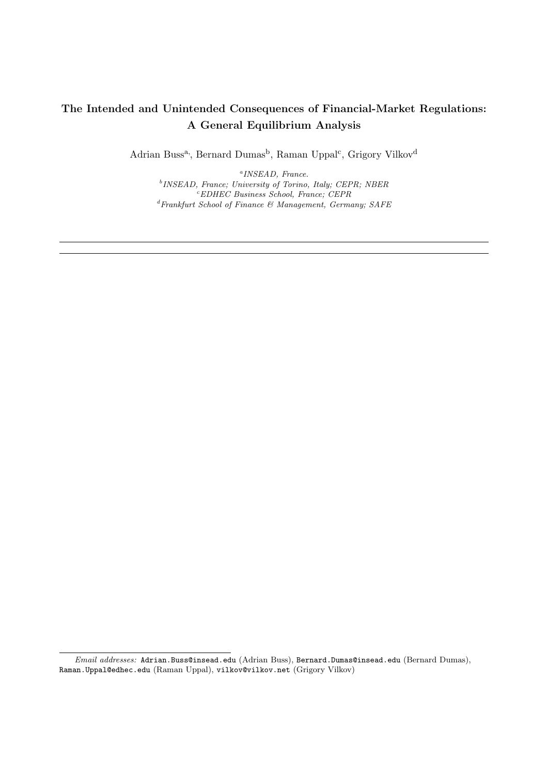## The Intended and Unintended Consequences of Financial-Market Regulations: A General Equilibrium Analysis

Adrian Buss<sup>a</sup>, Bernard Dumas<sup>b</sup>, Raman Uppal<sup>c</sup>, Grigory Vilkov<sup>d</sup>

a INSEAD, France. <sup>b</sup> INSEAD, France; University of Torino, Italy; CEPR; NBER <sup>c</sup>EDHEC Business School, France; CEPR  ${}^d\!F\!rank\!f\!urt\; School\; of\; Finance\; \&\; Management,\; Germany;\;SAFE$ 

Email addresses: Adrian.Buss@insead.edu (Adrian Buss), Bernard.Dumas@insead.edu (Bernard Dumas), Raman.Uppal@edhec.edu (Raman Uppal), vilkov@vilkov.net (Grigory Vilkov)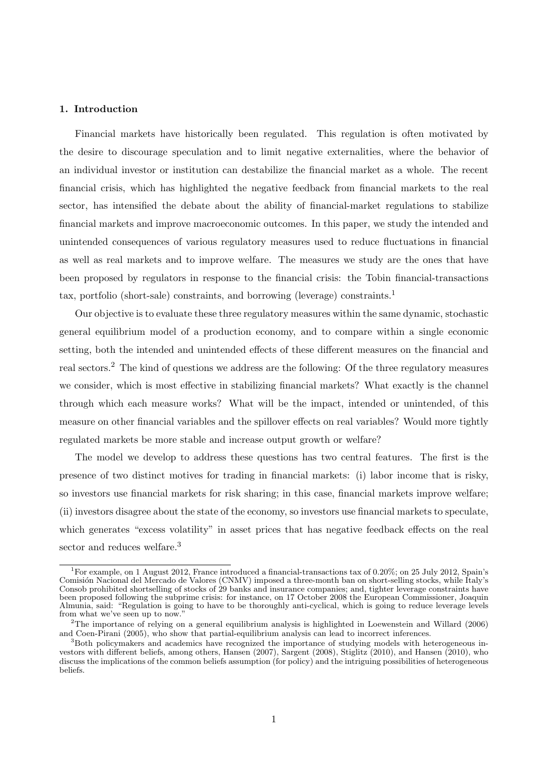## 1. Introduction

Financial markets have historically been regulated. This regulation is often motivated by the desire to discourage speculation and to limit negative externalities, where the behavior of an individual investor or institution can destabilize the financial market as a whole. The recent financial crisis, which has highlighted the negative feedback from financial markets to the real sector, has intensified the debate about the ability of financial-market regulations to stabilize financial markets and improve macroeconomic outcomes. In this paper, we study the intended and unintended consequences of various regulatory measures used to reduce fluctuations in financial as well as real markets and to improve welfare. The measures we study are the ones that have been proposed by regulators in response to the financial crisis: the Tobin financial-transactions tax, portfolio (short-sale) constraints, and borrowing (leverage) constraints.<sup>1</sup>

Our objective is to evaluate these three regulatory measures within the same dynamic, stochastic general equilibrium model of a production economy, and to compare within a single economic setting, both the intended and unintended effects of these different measures on the financial and real sectors.<sup>2</sup> The kind of questions we address are the following: Of the three regulatory measures we consider, which is most effective in stabilizing financial markets? What exactly is the channel through which each measure works? What will be the impact, intended or unintended, of this measure on other financial variables and the spillover effects on real variables? Would more tightly regulated markets be more stable and increase output growth or welfare?

The model we develop to address these questions has two central features. The first is the presence of two distinct motives for trading in financial markets: (i) labor income that is risky, so investors use financial markets for risk sharing; in this case, financial markets improve welfare; (ii) investors disagree about the state of the economy, so investors use financial markets to speculate, which generates "excess volatility" in asset prices that has negative feedback effects on the real sector and reduces welfare.<sup>3</sup>

<sup>1</sup>For example, on 1 August 2012, France introduced a financial-transactions tax of 0.20%; on 25 July 2012, Spain's Comisión Nacional del Mercado de Valores (CNMV) imposed a three-month ban on short-selling stocks, while Italy's Consob prohibited shortselling of stocks of 29 banks and insurance companies; and, tighter leverage constraints have been proposed following the subprime crisis: for instance, on 17 October 2008 the European Commissioner, Joaquin Almunia, said: "Regulation is going to have to be thoroughly anti-cyclical, which is going to reduce leverage levels from what we've seen up to now.'

<sup>&</sup>lt;sup>2</sup>The importance of relying on a general equilibrium analysis is highlighted in Loewenstein and Willard (2006) and Coen-Pirani (2005), who show that partial-equilibrium analysis can lead to incorrect inferences.

 $3$ Both policymakers and academics have recognized the importance of studying models with heterogeneous investors with different beliefs, among others, Hansen (2007), Sargent (2008), Stiglitz (2010), and Hansen (2010), who discuss the implications of the common beliefs assumption (for policy) and the intriguing possibilities of heterogeneous beliefs.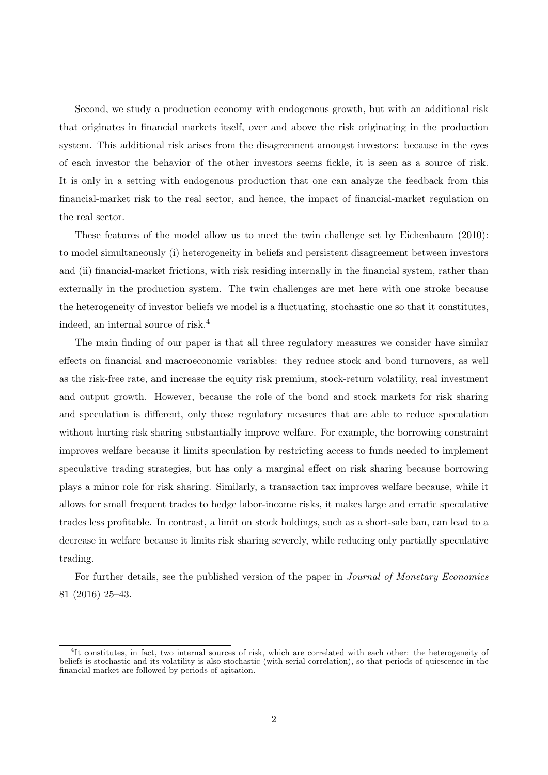Second, we study a production economy with endogenous growth, but with an additional risk that originates in financial markets itself, over and above the risk originating in the production system. This additional risk arises from the disagreement amongst investors: because in the eyes of each investor the behavior of the other investors seems fickle, it is seen as a source of risk. It is only in a setting with endogenous production that one can analyze the feedback from this financial-market risk to the real sector, and hence, the impact of financial-market regulation on the real sector.

These features of the model allow us to meet the twin challenge set by Eichenbaum (2010): to model simultaneously (i) heterogeneity in beliefs and persistent disagreement between investors and (ii) financial-market frictions, with risk residing internally in the financial system, rather than externally in the production system. The twin challenges are met here with one stroke because the heterogeneity of investor beliefs we model is a fluctuating, stochastic one so that it constitutes, indeed, an internal source of risk.<sup>4</sup>

The main finding of our paper is that all three regulatory measures we consider have similar effects on financial and macroeconomic variables: they reduce stock and bond turnovers, as well as the risk-free rate, and increase the equity risk premium, stock-return volatility, real investment and output growth. However, because the role of the bond and stock markets for risk sharing and speculation is different, only those regulatory measures that are able to reduce speculation without hurting risk sharing substantially improve welfare. For example, the borrowing constraint improves welfare because it limits speculation by restricting access to funds needed to implement speculative trading strategies, but has only a marginal effect on risk sharing because borrowing plays a minor role for risk sharing. Similarly, a transaction tax improves welfare because, while it allows for small frequent trades to hedge labor-income risks, it makes large and erratic speculative trades less profitable. In contrast, a limit on stock holdings, such as a short-sale ban, can lead to a decrease in welfare because it limits risk sharing severely, while reducing only partially speculative trading.

For further details, see the published version of the paper in Journal of Monetary Economics 81 (2016) 25–43.

<sup>4</sup> It constitutes, in fact, two internal sources of risk, which are correlated with each other: the heterogeneity of beliefs is stochastic and its volatility is also stochastic (with serial correlation), so that periods of quiescence in the financial market are followed by periods of agitation.